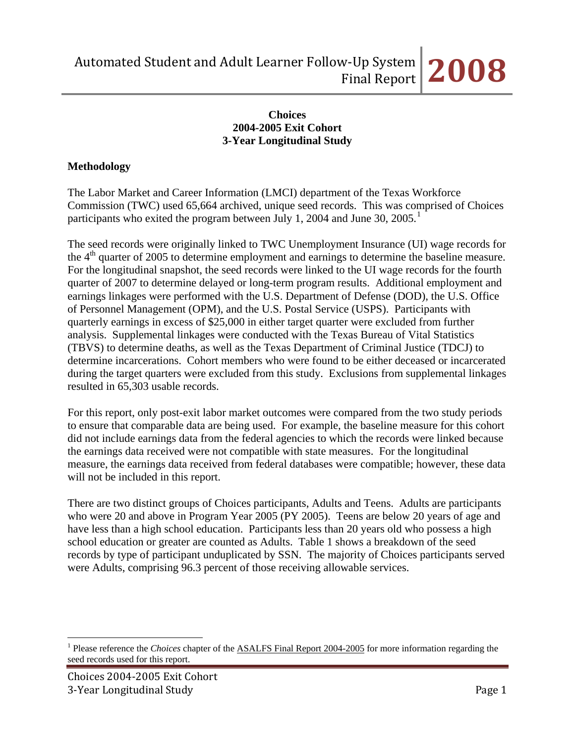## **Choices 2004-2005 Exit Cohort 3-Year Longitudinal Study**

# **Methodology**

The Labor Market and Career Information (LMCI) department of the Texas Workforce Commission (TWC) used 65,664 archived, unique seed records. This was comprised of Choices participants who exited the program between July [1](#page-0-0), 2004 and June 30, 2005.<sup>1</sup>

The seed records were originally linked to TWC Unemployment Insurance (UI) wage records for the  $4<sup>th</sup>$  quarter of 2005 to determine employment and earnings to determine the baseline measure. For the longitudinal snapshot, the seed records were linked to the UI wage records for the fourth quarter of 2007 to determine delayed or long-term program results. Additional employment and earnings linkages were performed with the U.S. Department of Defense (DOD), the U.S. Office of Personnel Management (OPM), and the U.S. Postal Service (USPS). Participants with quarterly earnings in excess of \$25,000 in either target quarter were excluded from further analysis. Supplemental linkages were conducted with the Texas Bureau of Vital Statistics (TBVS) to determine deaths, as well as the Texas Department of Criminal Justice (TDCJ) to determine incarcerations. Cohort members who were found to be either deceased or incarcerated during the target quarters were excluded from this study. Exclusions from supplemental linkages resulted in 65,303 usable records.

For this report, only post-exit labor market outcomes were compared from the two study periods to ensure that comparable data are being used. For example, the baseline measure for this cohort did not include earnings data from the federal agencies to which the records were linked because the earnings data received were not compatible with state measures. For the longitudinal measure, the earnings data received from federal databases were compatible; however, these data will not be included in this report.

There are two distinct groups of Choices participants, Adults and Teens. Adults are participants who were 20 and above in Program Year 2005 (PY 2005). Teens are below 20 years of age and have less than a high school education. Participants less than 20 years old who possess a high school education or greater are counted as Adults. Table 1 shows a breakdown of the seed records by type of participant unduplicated by SSN. The majority of Choices participants served were Adults, comprising 96.3 percent of those receiving allowable services.

 $\overline{a}$ 

<span id="page-0-0"></span><sup>&</sup>lt;sup>1</sup> Please reference the *Choices* chapter of the **ASALFS** Final Report 2004-2005 for more information regarding the seed records used for this report.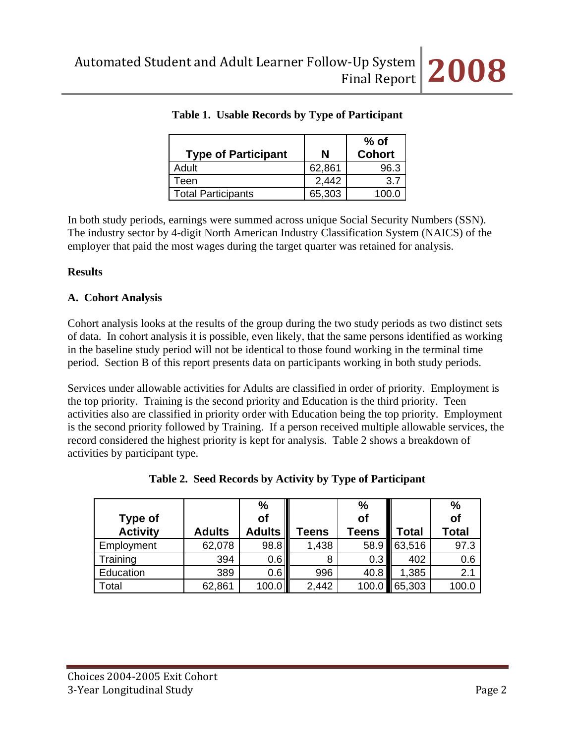| <b>Type of Participant</b> | N      | $%$ of<br><b>Cohort</b> |
|----------------------------|--------|-------------------------|
| Adult                      | 62,861 | 96.3                    |
| Teen                       | 2,442  | 37                      |
| <b>Total Participants</b>  | 65,303 |                         |

|  |  | Table 1. Usable Records by Type of Participant |
|--|--|------------------------------------------------|
|  |  |                                                |

In both study periods, earnings were summed across unique Social Security Numbers (SSN). The industry sector by 4-digit North American Industry Classification System (NAICS) of the employer that paid the most wages during the target quarter was retained for analysis.

## **Results**

## **A. Cohort Analysis**

Cohort analysis looks at the results of the group during the two study periods as two distinct sets of data. In cohort analysis it is possible, even likely, that the same persons identified as working in the baseline study period will not be identical to those found working in the terminal time period. Section B of this report presents data on participants working in both study periods.

Services under allowable activities for Adults are classified in order of priority. Employment is the top priority. Training is the second priority and Education is the third priority. Teen activities also are classified in priority order with Education being the top priority. Employment is the second priority followed by Training. If a person received multiple allowable services, the record considered the highest priority is kept for analysis. Table 2 shows a breakdown of activities by participant type.

|                 |               | $\frac{0}{0}$ |              | %     |        | %     |
|-----------------|---------------|---------------|--------------|-------|--------|-------|
| Type of         |               | of            |              | of    |        | of    |
| <b>Activity</b> | <b>Adults</b> | <b>Adults</b> | <b>Teens</b> | Teens | Total  | Total |
| Employment      | 62,078        | 98.8          | 1,438        | 58.9  | 63,516 | 97.3  |
| Training        | 394           | 0.6           | 8            | 0.3   | 402    | 0.6   |
| Education       | 389           | 0.6           | 996          | 40.8  | 1,385  | 2.1   |
| Total           | 62,861        | 100.0         | 2,442        | 100.0 | 65,303 | 100.0 |

| Table 2. Seed Records by Activity by Type of Participant |  |  |
|----------------------------------------------------------|--|--|
|----------------------------------------------------------|--|--|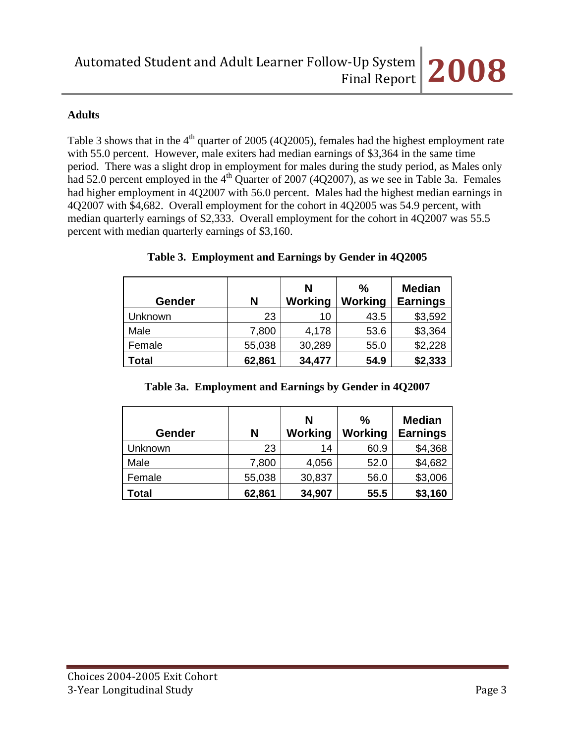# **Adults**

Table 3 shows that in the  $4<sup>th</sup>$  quarter of 2005 (4Q2005), females had the highest employment rate with 55.0 percent. However, male exiters had median earnings of \$3,364 in the same time period. There was a slight drop in employment for males during the study period, as Males only had 52.0 percent employed in the  $4<sup>th</sup>$  Quarter of 2007 (4Q2007), as we see in Table 3a. Females had higher employment in 4Q2007 with 56.0 percent. Males had the highest median earnings in 4Q2007 with \$4,682. Overall employment for the cohort in 4Q2005 was 54.9 percent, with median quarterly earnings of \$2,333. Overall employment for the cohort in 4Q2007 was 55.5 percent with median quarterly earnings of \$3,160.

| Gender  | N      | N<br>Working | $\frac{0}{0}$<br><b>Working</b> | <b>Median</b><br><b>Earnings</b> |
|---------|--------|--------------|---------------------------------|----------------------------------|
| Unknown | 23     | 10           | 43.5                            | \$3,592                          |
| Male    | 7,800  | 4,178        | 53.6                            | \$3,364                          |
| Female  | 55,038 | 30,289       | 55.0                            | \$2,228                          |
| Total   | 62,861 | 34,477       | 54.9                            | \$2,333                          |

# **Table 3. Employment and Earnings by Gender in 4Q2005**

# **Table 3a. Employment and Earnings by Gender in 4Q2007**

| <b>Gender</b> | N      | N<br><b>Working</b> | $\frac{0}{0}$<br><b>Working</b> | <b>Median</b><br><b>Earnings</b> |
|---------------|--------|---------------------|---------------------------------|----------------------------------|
| Unknown       | 23     | 14                  | 60.9                            | \$4,368                          |
| Male          | 7,800  | 4,056               | 52.0                            | \$4,682                          |
| Female        | 55,038 | 30,837              | 56.0                            | \$3,006                          |
| <b>Total</b>  | 62,861 | 34,907              | 55.5                            | \$3,160                          |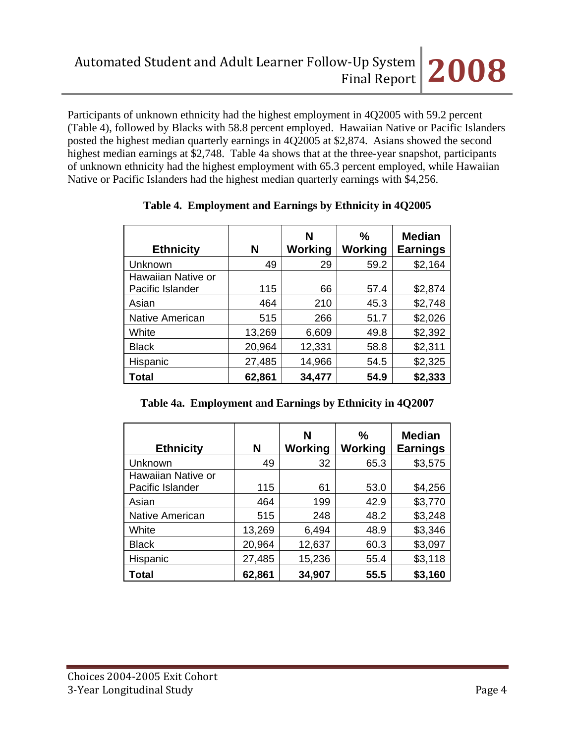Participants of unknown ethnicity had the highest employment in 4Q2005 with 59.2 percent (Table 4), followed by Blacks with 58.8 percent employed. Hawaiian Native or Pacific Islanders posted the highest median quarterly earnings in 4Q2005 at \$2,874. Asians showed the second highest median earnings at \$2,748. Table 4a shows that at the three-year snapshot, participants of unknown ethnicity had the highest employment with 65.3 percent employed, while Hawaiian Native or Pacific Islanders had the highest median quarterly earnings with \$4,256.

| <b>Ethnicity</b>                       | N      | N<br>Working | $\%$<br>Working | <b>Median</b><br><b>Earnings</b> |
|----------------------------------------|--------|--------------|-----------------|----------------------------------|
| Unknown                                | 49     | 29           | 59.2            | \$2,164                          |
| Hawaiian Native or<br>Pacific Islander | 115    | 66           | 57.4            | \$2,874                          |
| Asian                                  | 464    | 210          | 45.3            | \$2,748                          |
| <b>Native American</b>                 | 515    | 266          | 51.7            | \$2,026                          |
| White                                  | 13,269 | 6,609        | 49.8            | \$2,392                          |
| <b>Black</b>                           | 20,964 | 12,331       | 58.8            | \$2,311                          |
| Hispanic                               | 27,485 | 14,966       | 54.5            | \$2,325                          |
| <b>Total</b>                           | 62,861 | 34,477       | 54.9            | \$2,333                          |

# **Table 4. Employment and Earnings by Ethnicity in 4Q2005**

**Table 4a. Employment and Earnings by Ethnicity in 4Q2007**

| <b>Ethnicity</b>       | N      | N<br>Working | $\frac{0}{0}$<br>Working | <b>Median</b><br><b>Earnings</b> |
|------------------------|--------|--------------|--------------------------|----------------------------------|
| Unknown                | 49     | 32           | 65.3                     | \$3,575                          |
| Hawaiian Native or     |        |              |                          |                                  |
| Pacific Islander       | 115    | 61           | 53.0                     | \$4,256                          |
| Asian                  | 464    | 199          | 42.9                     | \$3,770                          |
| <b>Native American</b> | 515    | 248          | 48.2                     | \$3,248                          |
| White                  | 13,269 | 6,494        | 48.9                     | \$3,346                          |
| <b>Black</b>           | 20,964 | 12,637       | 60.3                     | \$3,097                          |
| Hispanic               | 27,485 | 15,236       | 55.4                     | \$3,118                          |
| Total                  | 62,861 | 34,907       | 55.5                     | \$3,160                          |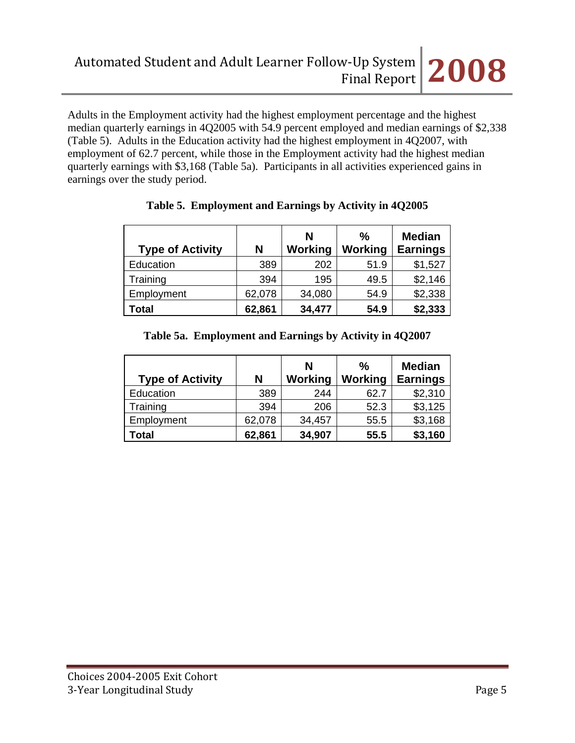Adults in the Employment activity had the highest employment percentage and the highest median quarterly earnings in 4Q2005 with 54.9 percent employed and median earnings of \$2,338 (Table 5). Adults in the Education activity had the highest employment in 4Q2007, with employment of 62.7 percent, while those in the Employment activity had the highest median quarterly earnings with \$3,168 (Table 5a). Participants in all activities experienced gains in earnings over the study period.

| <b>Type of Activity</b> | N      | N<br><b>Working</b> | $\%$<br><b>Working</b> | <b>Median</b><br><b>Earnings</b> |
|-------------------------|--------|---------------------|------------------------|----------------------------------|
| Education               | 389    | 202                 | 51.9                   | \$1,527                          |
| Training                | 394    | 195                 | 49.5                   | \$2,146                          |
| Employment              | 62,078 | 34,080              | 54.9                   | \$2,338                          |
| <b>Total</b>            | 62,861 | 34,477              | 54.9                   | \$2,333                          |

# **Table 5. Employment and Earnings by Activity in 4Q2005**

# **Table 5a. Employment and Earnings by Activity in 4Q2007**

| <b>Type of Activity</b> | N      | N<br><b>Working</b> | $\frac{0}{0}$<br><b>Working</b> | <b>Median</b><br><b>Earnings</b> |
|-------------------------|--------|---------------------|---------------------------------|----------------------------------|
| Education               | 389    | 244                 | 62.7                            | \$2,310                          |
| Training                | 394    | 206                 | 52.3                            | \$3,125                          |
| Employment              | 62,078 | 34,457              | 55.5                            | \$3,168                          |
| Total                   | 62,861 | 34,907              | 55.5                            | \$3,160                          |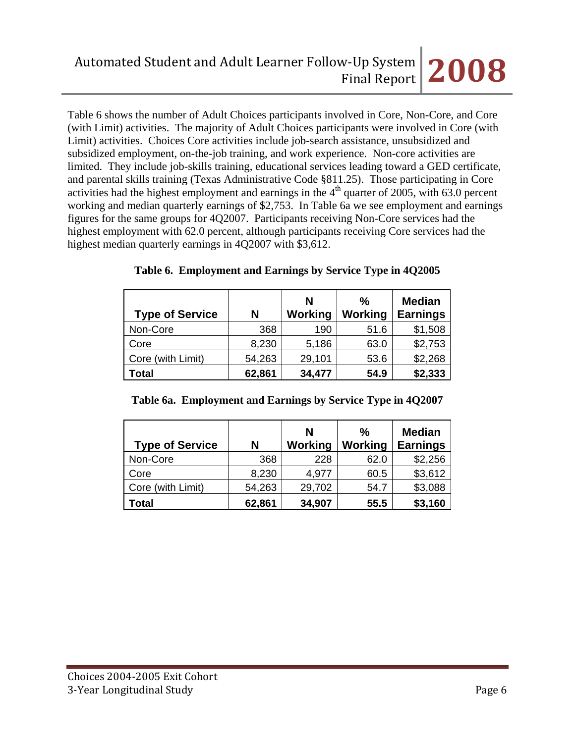Table 6 shows the number of Adult Choices participants involved in Core, Non-Core, and Core (with Limit) activities. The majority of Adult Choices participants were involved in Core (with Limit) activities. Choices Core activities include job-search assistance, unsubsidized and subsidized employment, on-the-job training, and work experience. Non-core activities are limited. They include job-skills training, educational services leading toward a GED certificate, and parental skills training (Texas Administrative Code §811.25). Those participating in Core activities had the highest employment and earnings in the  $4<sup>th</sup>$  quarter of 2005, with 63.0 percent working and median quarterly earnings of \$2,753. In Table 6a we see employment and earnings figures for the same groups for 4Q2007. Participants receiving Non-Core services had the highest employment with 62.0 percent, although participants receiving Core services had the highest median quarterly earnings in 4Q2007 with \$3,612.

| <b>Type of Service</b> | N      | N<br><b>Working</b> | $\frac{0}{0}$<br><b>Working</b> | <b>Median</b><br><b>Earnings</b> |
|------------------------|--------|---------------------|---------------------------------|----------------------------------|
| Non-Core               | 368    | 190                 | 51.6                            | \$1,508                          |
| Core                   | 8,230  | 5,186               | 63.0                            | \$2,753                          |
| Core (with Limit)      | 54,263 | 29,101              | 53.6                            | \$2,268                          |
| <b>Total</b>           | 62,861 | 34,477              | 54.9                            | \$2,333                          |

**Table 6. Employment and Earnings by Service Type in 4Q2005**

| <b>Type of Service</b> | N      | N<br>Working | $\frac{0}{0}$<br>Working | <b>Median</b><br><b>Earnings</b> |
|------------------------|--------|--------------|--------------------------|----------------------------------|
| Non-Core               | 368    | 228          | 62.0                     | \$2,256                          |
| Core                   | 8,230  | 4,977        | 60.5                     | \$3,612                          |
| Core (with Limit)      | 54,263 | 29,702       | 54.7                     | \$3,088                          |
| Total                  | 62,861 | 34,907       | 55.5                     | \$3,160                          |

**Table 6a. Employment and Earnings by Service Type in 4Q2007**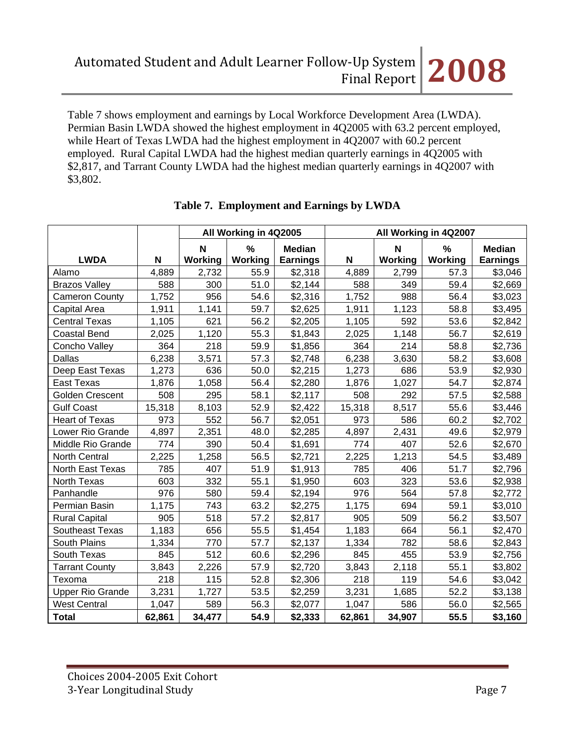Table 7 shows employment and earnings by Local Workforce Development Area (LWDA). Permian Basin LWDA showed the highest employment in 4Q2005 with 63.2 percent employed, while Heart of Texas LWDA had the highest employment in 4Q2007 with 60.2 percent employed. Rural Capital LWDA had the highest median quarterly earnings in 4Q2005 with \$2,817, and Tarrant County LWDA had the highest median quarterly earnings in 4Q2007 with \$3,802.

|                         |        | All Working in 4Q2005 |                 | All Working in 4Q2007            |        |                        |                 |                                  |
|-------------------------|--------|-----------------------|-----------------|----------------------------------|--------|------------------------|-----------------|----------------------------------|
| <b>LWDA</b>             | N      | N<br>Working          | $\%$<br>Working | <b>Median</b><br><b>Earnings</b> | N      | $\mathbf N$<br>Working | $\%$<br>Working | <b>Median</b><br><b>Earnings</b> |
| Alamo                   | 4,889  | 2,732                 | 55.9            | \$2,318                          | 4,889  | 2,799                  | 57.3            | \$3,046                          |
| <b>Brazos Valley</b>    | 588    | 300                   | 51.0            | \$2,144                          | 588    | 349                    | 59.4            | \$2,669                          |
| <b>Cameron County</b>   | 1,752  | 956                   | 54.6            | \$2,316                          | 1,752  | 988                    | 56.4            | \$3,023                          |
| Capital Area            | 1,911  | 1,141                 | 59.7            | \$2,625                          | 1,911  | 1,123                  | 58.8            | \$3,495                          |
| <b>Central Texas</b>    | 1,105  | 621                   | 56.2            | \$2,205                          | 1,105  | 592                    | 53.6            | \$2,842                          |
| <b>Coastal Bend</b>     | 2,025  | 1,120                 | 55.3            | \$1,843                          | 2,025  | 1,148                  | 56.7            | \$2,619                          |
| Concho Valley           | 364    | 218                   | 59.9            | \$1,856                          | 364    | 214                    | 58.8            | \$2,736                          |
| <b>Dallas</b>           | 6,238  | 3,571                 | 57.3            | \$2,748                          | 6,238  | 3,630                  | 58.2            | \$3,608                          |
| Deep East Texas         | 1,273  | 636                   | 50.0            | \$2,215                          | 1,273  | 686                    | 53.9            | \$2,930                          |
| East Texas              | 1,876  | 1,058                 | 56.4            | \$2,280                          | 1,876  | 1,027                  | 54.7            | \$2,874                          |
| Golden Crescent         | 508    | 295                   | 58.1            | \$2,117                          | 508    | 292                    | 57.5            | \$2,588                          |
| <b>Gulf Coast</b>       | 15,318 | 8,103                 | 52.9            | \$2,422                          | 15,318 | 8,517                  | 55.6            | \$3,446                          |
| <b>Heart of Texas</b>   | 973    | 552                   | 56.7            | \$2,051                          | 973    | 586                    | 60.2            | \$2,702                          |
| Lower Rio Grande        | 4,897  | 2,351                 | 48.0            | \$2,285                          | 4,897  | 2,431                  | 49.6            | \$2,979                          |
| Middle Rio Grande       | 774    | 390                   | 50.4            | \$1,691                          | 774    | 407                    | 52.6            | \$2,670                          |
| <b>North Central</b>    | 2,225  | 1,258                 | 56.5            | \$2,721                          | 2,225  | 1,213                  | 54.5            | \$3,489                          |
| North East Texas        | 785    | 407                   | 51.9            | \$1,913                          | 785    | 406                    | 51.7            | \$2,796                          |
| North Texas             | 603    | 332                   | 55.1            | \$1,950                          | 603    | 323                    | 53.6            | \$2,938                          |
| Panhandle               | 976    | 580                   | 59.4            | \$2,194                          | 976    | 564                    | 57.8            | \$2,772                          |
| Permian Basin           | 1,175  | 743                   | 63.2            | \$2,275                          | 1,175  | 694                    | 59.1            | \$3,010                          |
| <b>Rural Capital</b>    | 905    | 518                   | 57.2            | \$2,817                          | 905    | 509                    | 56.2            | \$3,507                          |
| Southeast Texas         | 1,183  | 656                   | 55.5            | \$1,454                          | 1,183  | 664                    | 56.1            | \$2,470                          |
| South Plains            | 1,334  | 770                   | 57.7            | \$2,137                          | 1,334  | 782                    | 58.6            | \$2,843                          |
| South Texas             | 845    | 512                   | 60.6            | \$2,296                          | 845    | 455                    | 53.9            | \$2,756                          |
| <b>Tarrant County</b>   | 3,843  | 2,226                 | 57.9            | \$2,720                          | 3,843  | 2,118                  | 55.1            | \$3,802                          |
| Texoma                  | 218    | 115                   | 52.8            | \$2,306                          | 218    | 119                    | 54.6            | \$3,042                          |
| <b>Upper Rio Grande</b> | 3,231  | 1,727                 | 53.5            | \$2,259                          | 3,231  | 1,685                  | 52.2            | \$3,138                          |
| <b>West Central</b>     | 1,047  | 589                   | 56.3            | \$2,077                          | 1,047  | 586                    | 56.0            | \$2,565                          |
| <b>Total</b>            | 62,861 | 34,477                | 54.9            | \$2,333                          | 62,861 | 34,907                 | 55.5            | \$3,160                          |

# **Table 7. Employment and Earnings by LWDA**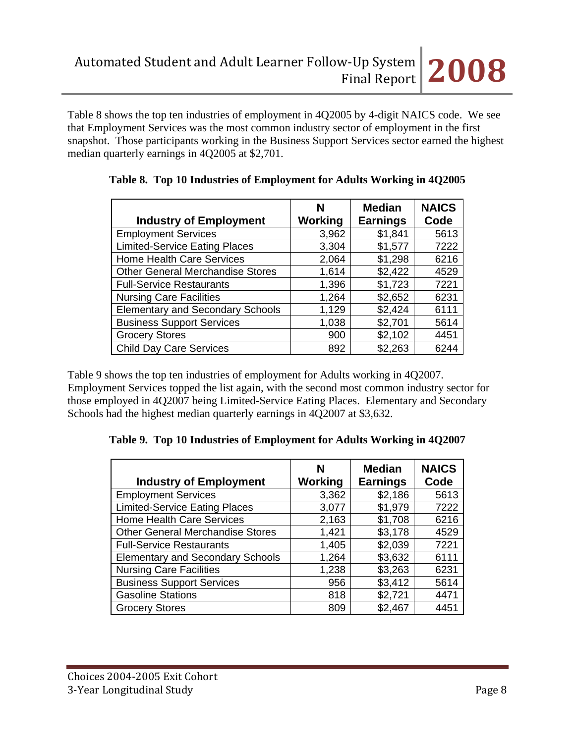Table 8 shows the top ten industries of employment in 4Q2005 by 4-digit NAICS code. We see that Employment Services was the most common industry sector of employment in the first snapshot. Those participants working in the Business Support Services sector earned the highest median quarterly earnings in 4Q2005 at \$2,701.

| <b>Industry of Employment</b>           | N<br>Working | <b>Median</b><br><b>Earnings</b> | <b>NAICS</b><br>Code |
|-----------------------------------------|--------------|----------------------------------|----------------------|
| <b>Employment Services</b>              | 3,962        | \$1,841                          | 5613                 |
| <b>Limited-Service Eating Places</b>    | 3,304        | \$1,577                          | 7222                 |
| <b>Home Health Care Services</b>        | 2,064        | \$1,298                          | 6216                 |
| <b>Other General Merchandise Stores</b> | 1,614        | \$2,422                          | 4529                 |
| <b>Full-Service Restaurants</b>         | 1,396        | \$1,723                          | 7221                 |
| <b>Nursing Care Facilities</b>          | 1,264        | \$2,652                          | 6231                 |
| <b>Elementary and Secondary Schools</b> | 1,129        | \$2,424                          | 6111                 |
| <b>Business Support Services</b>        | 1,038        | \$2,701                          | 5614                 |
| <b>Grocery Stores</b>                   | 900          | \$2,102                          | 4451                 |
| <b>Child Day Care Services</b>          | 892          | \$2,263                          | 6244                 |

Table 9 shows the top ten industries of employment for Adults working in 4Q2007. Employment Services topped the list again, with the second most common industry sector for those employed in 4Q2007 being Limited-Service Eating Places. Elementary and Secondary Schools had the highest median quarterly earnings in 4Q2007 at \$3,632.

**Table 9. Top 10 Industries of Employment for Adults Working in 4Q2007** 

| <b>Industry of Employment</b>           | N<br>Working | <b>Median</b><br><b>Earnings</b> | <b>NAICS</b><br>Code |
|-----------------------------------------|--------------|----------------------------------|----------------------|
| <b>Employment Services</b>              | 3,362        | \$2,186                          | 5613                 |
| <b>Limited-Service Eating Places</b>    | 3,077        | \$1,979                          | 7222                 |
| <b>Home Health Care Services</b>        | 2,163        | \$1,708                          | 6216                 |
| <b>Other General Merchandise Stores</b> | 1,421        | \$3,178                          | 4529                 |
| <b>Full-Service Restaurants</b>         | 1,405        | \$2,039                          | 7221                 |
| <b>Elementary and Secondary Schools</b> | 1,264        | \$3,632                          | 6111                 |
| <b>Nursing Care Facilities</b>          | 1,238        | \$3,263                          | 6231                 |
| <b>Business Support Services</b>        | 956          | \$3,412                          | 5614                 |
| <b>Gasoline Stations</b>                | 818          | \$2,721                          | 4471                 |
| <b>Grocery Stores</b>                   | 809          | \$2,467                          | 4451                 |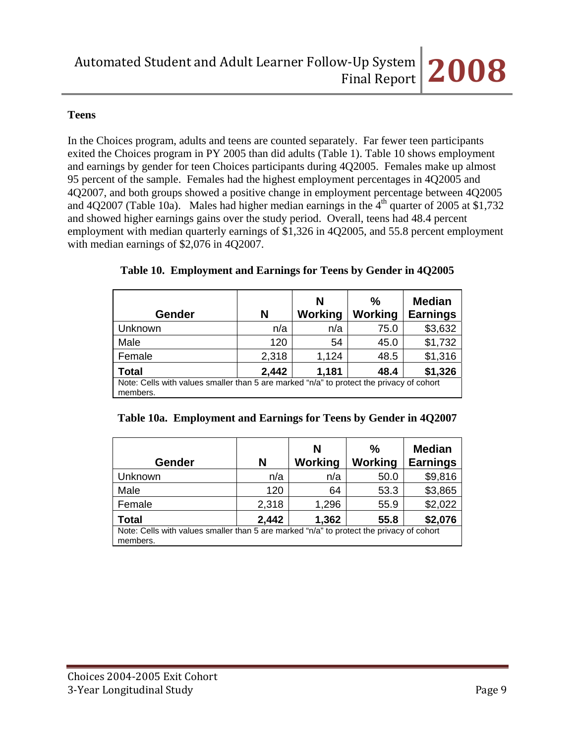# **Teens**

In the Choices program, adults and teens are counted separately. Far fewer teen participants exited the Choices program in PY 2005 than did adults (Table 1). Table 10 shows employment and earnings by gender for teen Choices participants during 4Q2005. Females make up almost 95 percent of the sample. Females had the highest employment percentages in 4Q2005 and 4Q2007, and both groups showed a positive change in employment percentage between 4Q2005 and 4Q2007 (Table 10a). Males had higher median earnings in the  $4<sup>th</sup>$  quarter of 2005 at \$1,732 and showed higher earnings gains over the study period. Overall, teens had 48.4 percent employment with median quarterly earnings of \$1,326 in 4Q2005, and 55.8 percent employment with median earnings of \$2,076 in 4Q2007.

|                                                                                                      |       | N       | $\frac{0}{0}$  | <b>Median</b>   |
|------------------------------------------------------------------------------------------------------|-------|---------|----------------|-----------------|
| Gender                                                                                               | N     | Working | <b>Working</b> | <b>Earnings</b> |
| Unknown                                                                                              | n/a   | n/a     | 75.0           | \$3,632         |
| Male                                                                                                 | 120   | 54      | 45.0           | \$1,732         |
| Female                                                                                               | 2,318 | 1,124   | 48.5           | \$1,316         |
| <b>Total</b>                                                                                         | 2,442 | 1,181   | 48.4           | \$1,326         |
| Note: Cells with values smaller than 5 are marked "n/a" to protect the privacy of cohort<br>members. |       |         |                |                 |

## **Table 10. Employment and Earnings for Teens by Gender in 4Q2005**

| Table 10a. Employment and Earnings for Teens by Gender in 4Q2007 |  |  |
|------------------------------------------------------------------|--|--|
|                                                                  |  |  |

| Gender                                                                                               | N     | N<br>Working | $\frac{0}{0}$<br><b>Working</b> | <b>Median</b><br><b>Earnings</b> |
|------------------------------------------------------------------------------------------------------|-------|--------------|---------------------------------|----------------------------------|
| Unknown                                                                                              | n/a   | n/a          | 50.0                            | \$9,816                          |
| Male                                                                                                 | 120   | 64           | 53.3                            | \$3,865                          |
| Female                                                                                               | 2,318 | 1,296        | 55.9                            | \$2,022                          |
| <b>Total</b>                                                                                         | 2,442 | 1,362        | 55.8                            | \$2,076                          |
| Note: Cells with values smaller than 5 are marked "n/a" to protect the privacy of cohort<br>members. |       |              |                                 |                                  |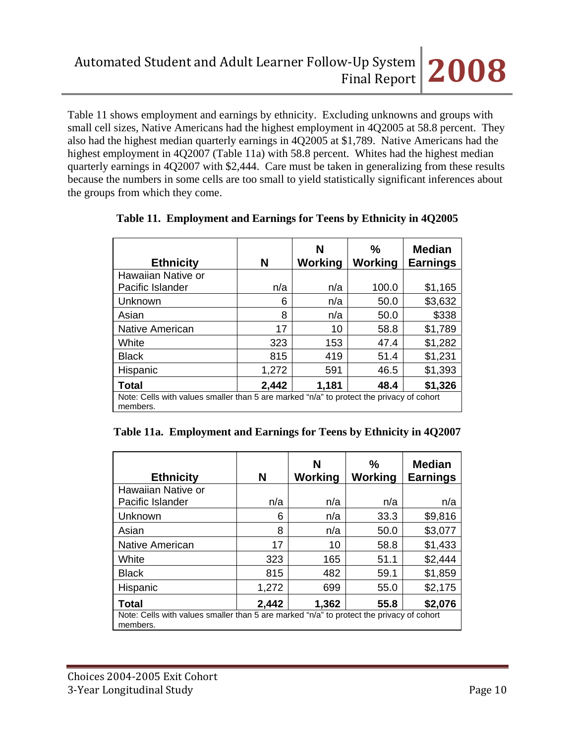Table 11 shows employment and earnings by ethnicity. Excluding unknowns and groups with small cell sizes, Native Americans had the highest employment in 4Q2005 at 58.8 percent. They also had the highest median quarterly earnings in 4Q2005 at \$1,789. Native Americans had the highest employment in 4Q2007 (Table 11a) with 58.8 percent. Whites had the highest median quarterly earnings in 4Q2007 with \$2,444. Care must be taken in generalizing from these results because the numbers in some cells are too small to yield statistically significant inferences about the groups from which they come.

| <b>Ethnicity</b>   | N                                                                                        | N<br>Working | $\frac{0}{0}$<br>Working | <b>Median</b><br><b>Earnings</b> |  |
|--------------------|------------------------------------------------------------------------------------------|--------------|--------------------------|----------------------------------|--|
| Hawaiian Native or |                                                                                          |              |                          |                                  |  |
| Pacific Islander   | n/a                                                                                      | n/a          | 100.0                    | \$1,165                          |  |
| Unknown            | 6                                                                                        | n/a          | 50.0                     | \$3,632                          |  |
| Asian              | 8                                                                                        | n/a          | 50.0                     | \$338                            |  |
| Native American    | 17                                                                                       | 10           | 58.8                     | \$1,789                          |  |
| White              | 323                                                                                      | 153          | 47.4                     | \$1,282                          |  |
| <b>Black</b>       | 815                                                                                      | 419          | 51.4                     | \$1,231                          |  |
| Hispanic           | 1,272                                                                                    | 591          | 46.5                     | \$1,393                          |  |
| Total              | 2,442                                                                                    | 1,181        | 48.4                     | \$1,326                          |  |
| members.           | Note: Cells with values smaller than 5 are marked "n/a" to protect the privacy of cohort |              |                          |                                  |  |

|  |  |  |  | Table 11. Employment and Earnings for Teens by Ethnicity in 4Q2005 |
|--|--|--|--|--------------------------------------------------------------------|
|--|--|--|--|--------------------------------------------------------------------|

|  | Table 11a. Employment and Earnings for Teens by Ethnicity in 4Q2007 |  |
|--|---------------------------------------------------------------------|--|
|  |                                                                     |  |

| <b>Ethnicity</b>                                                                                     | N     | N<br>Working | $\frac{0}{0}$<br>Working | <b>Median</b><br><b>Earnings</b> |
|------------------------------------------------------------------------------------------------------|-------|--------------|--------------------------|----------------------------------|
| Hawaiian Native or                                                                                   |       |              |                          |                                  |
| Pacific Islander                                                                                     | n/a   | n/a          | n/a                      | n/a                              |
| Unknown                                                                                              | 6     | n/a          | 33.3                     | \$9,816                          |
| Asian                                                                                                | 8     | n/a          | 50.0                     | \$3,077                          |
| Native American                                                                                      | 17    | 10           | 58.8                     | \$1,433                          |
| White                                                                                                | 323   | 165          | 51.1                     | \$2,444                          |
| <b>Black</b>                                                                                         | 815   | 482          | 59.1                     | \$1,859                          |
| Hispanic                                                                                             | 1,272 | 699          | 55.0                     | \$2,175                          |
| <b>Total</b>                                                                                         | 2,442 | 1,362        | 55.8                     | \$2,076                          |
| Note: Cells with values smaller than 5 are marked "n/a" to protect the privacy of cohort<br>members. |       |              |                          |                                  |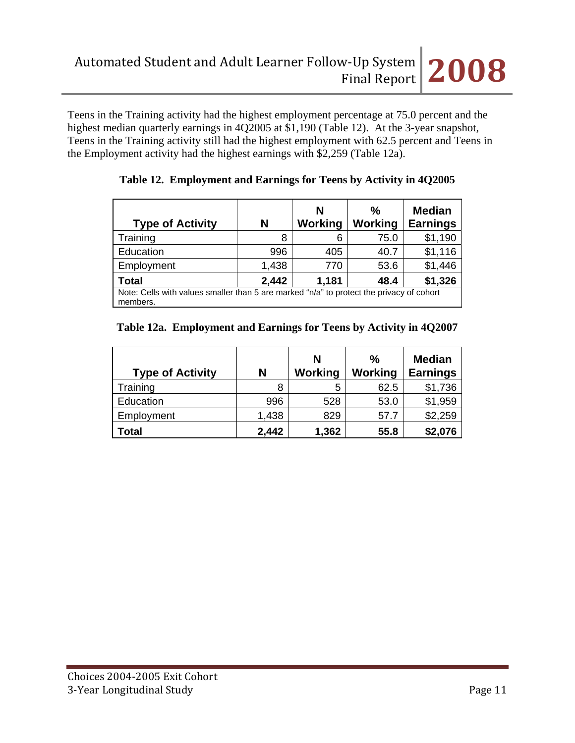

Teens in the Training activity had the highest employment percentage at 75.0 percent and the highest median quarterly earnings in 4Q2005 at \$1,190 (Table 12). At the 3-year snapshot, Teens in the Training activity still had the highest employment with 62.5 percent and Teens in the Employment activity had the highest earnings with \$2,259 (Table 12a).

| <b>Type of Activity</b> | N                                                                                        | N<br>Working | $\frac{0}{0}$<br>Working | <b>Median</b><br><b>Earnings</b> |  |
|-------------------------|------------------------------------------------------------------------------------------|--------------|--------------------------|----------------------------------|--|
| Training                | 8                                                                                        | 6            | 75.0                     | \$1,190                          |  |
| Education               | 996                                                                                      | 405          | 40.7                     | \$1,116                          |  |
| Employment              | 1,438                                                                                    | 770          | 53.6                     | \$1,446                          |  |
| <b>Total</b>            | 2,442                                                                                    | 1,181        | 48.4                     | \$1,326                          |  |
| members.                | Note: Cells with values smaller than 5 are marked "n/a" to protect the privacy of cohort |              |                          |                                  |  |

# **Table 12. Employment and Earnings for Teens by Activity in 4Q2005**

# **Table 12a. Employment and Earnings for Teens by Activity in 4Q2007**

| <b>Type of Activity</b> | N     | N<br>Working | $\frac{0}{0}$<br><b>Working</b> | <b>Median</b><br><b>Earnings</b> |
|-------------------------|-------|--------------|---------------------------------|----------------------------------|
| Training                | 8     | 5            | 62.5                            | \$1,736                          |
| Education               | 996   | 528          | 53.0                            | \$1,959                          |
| Employment              | 1,438 | 829          | 57.7                            | \$2,259                          |
| Total                   | 2,442 | 1,362        | 55.8                            | \$2,076                          |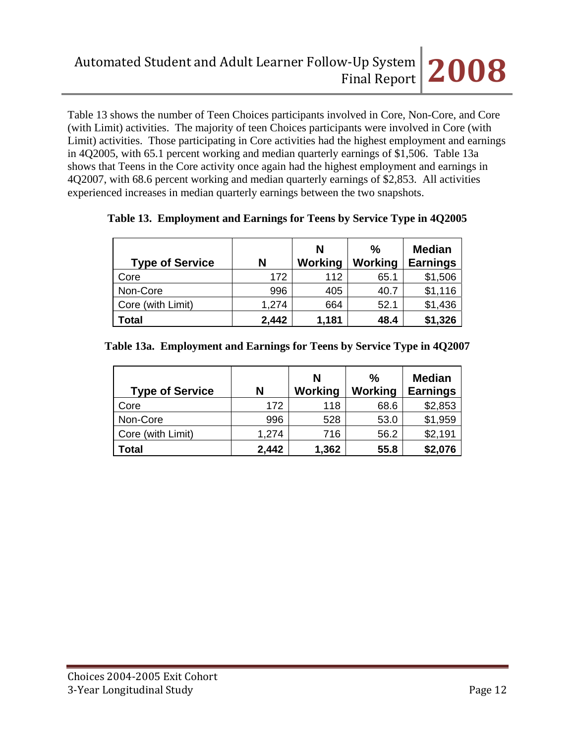Table 13 shows the number of Teen Choices participants involved in Core, Non-Core, and Core (with Limit) activities. The majority of teen Choices participants were involved in Core (with Limit) activities. Those participating in Core activities had the highest employment and earnings in 4Q2005, with 65.1 percent working and median quarterly earnings of \$1,506. Table 13a shows that Teens in the Core activity once again had the highest employment and earnings in 4Q2007, with 68.6 percent working and median quarterly earnings of \$2,853. All activities experienced increases in median quarterly earnings between the two snapshots.

| <b>Type of Service</b> | N     | N<br>Working | %<br>Working | <b>Median</b><br><b>Earnings</b> |
|------------------------|-------|--------------|--------------|----------------------------------|
| Core                   | 172   | 112          | 65.1         | \$1,506                          |
| Non-Core               | 996   | 405          | 40.7         | \$1,116                          |
| Core (with Limit)      | 1,274 | 664          | 52.1         | \$1,436                          |
| Total                  | 2,442 | 1,181        | 48.4         | \$1,326                          |

# **Table 13. Employment and Earnings for Teens by Service Type in 4Q2005**

|  |  |  | Table 13a. Employment and Earnings for Teens by Service Type in 4Q2007 |  |
|--|--|--|------------------------------------------------------------------------|--|
|--|--|--|------------------------------------------------------------------------|--|

| <b>Type of Service</b> | N     | N<br>Working | $\frac{0}{0}$<br><b>Working</b> | <b>Median</b><br><b>Earnings</b> |
|------------------------|-------|--------------|---------------------------------|----------------------------------|
| Core                   | 172   | 118          | 68.6                            | \$2,853                          |
| Non-Core               | 996   | 528          | 53.0                            | \$1,959                          |
| Core (with Limit)      | 1,274 | 716          | 56.2                            | \$2,191                          |
| Total                  | 2,442 | 1,362        | 55.8                            | \$2,076                          |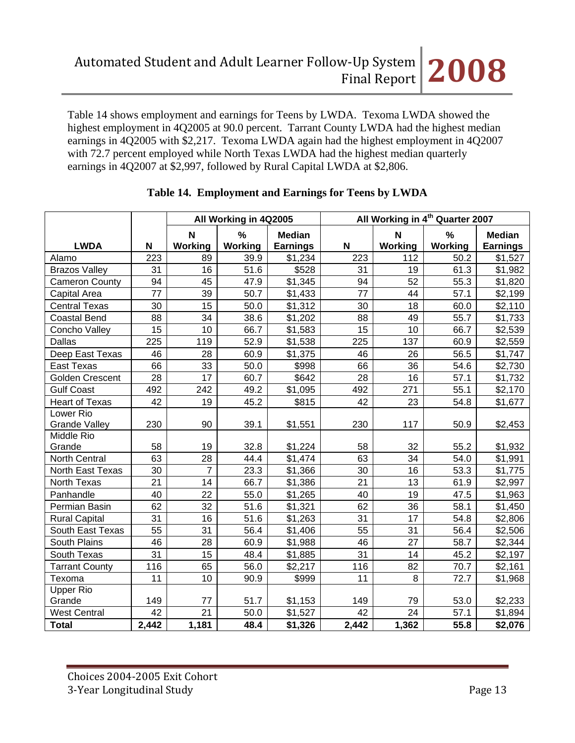Table 14 shows employment and earnings for Teens by LWDA. Texoma LWDA showed the highest employment in 4Q2005 at 90.0 percent. Tarrant County LWDA had the highest median earnings in 4Q2005 with \$2,217. Texoma LWDA again had the highest employment in 4Q2007 with 72.7 percent employed while North Texas LWDA had the highest median quarterly earnings in 4Q2007 at \$2,997, followed by Rural Capital LWDA at \$2,806.

|                       |       | All Working in 4th Quarter 2007<br>All Working in 4Q2005 |         |                 |       |         |         |                 |
|-----------------------|-------|----------------------------------------------------------|---------|-----------------|-------|---------|---------|-----------------|
|                       |       | $\mathbf N$                                              | %       | <b>Median</b>   |       | N       | $\%$    | <b>Median</b>   |
| <b>LWDA</b>           | N     | <b>Working</b>                                           | Working | <b>Earnings</b> | N     | Working | Working | <b>Earnings</b> |
| Alamo                 | 223   | 89                                                       | 39.9    | \$1,234         | 223   | 112     | 50.2    | \$1,527         |
| <b>Brazos Valley</b>  | 31    | 16                                                       | 51.6    | \$528           | 31    | 19      | 61.3    | \$1,982         |
| <b>Cameron County</b> | 94    | 45                                                       | 47.9    | \$1,345         | 94    | 52      | 55.3    | \$1,820         |
| Capital Area          | 77    | 39                                                       | 50.7    | \$1,433         | 77    | 44      | 57.1    | \$2,199         |
| <b>Central Texas</b>  | 30    | 15                                                       | 50.0    | \$1,312         | 30    | 18      | 60.0    | \$2,110         |
| <b>Coastal Bend</b>   | 88    | 34                                                       | 38.6    | \$1,202         | 88    | 49      | 55.7    | \$1,733         |
| Concho Valley         | 15    | 10                                                       | 66.7    | \$1,583         | 15    | 10      | 66.7    | \$2,539         |
| <b>Dallas</b>         | 225   | 119                                                      | 52.9    | \$1,538         | 225   | 137     | 60.9    | \$2,559         |
| Deep East Texas       | 46    | 28                                                       | 60.9    | \$1,375         | 46    | 26      | 56.5    | \$1,747         |
| <b>East Texas</b>     | 66    | 33                                                       | 50.0    | \$998           | 66    | 36      | 54.6    | \$2,730         |
| Golden Crescent       | 28    | 17                                                       | 60.7    | \$642           | 28    | 16      | 57.1    | \$1,732         |
| <b>Gulf Coast</b>     | 492   | 242                                                      | 49.2    | \$1,095         | 492   | 271     | 55.1    | \$2,170         |
| <b>Heart of Texas</b> | 42    | 19                                                       | 45.2    | \$815           | 42    | 23      | 54.8    | \$1,677         |
| Lower Rio             |       |                                                          |         |                 |       |         |         |                 |
| <b>Grande Valley</b>  | 230   | 90                                                       | 39.1    | \$1,551         | 230   | 117     | 50.9    | \$2,453         |
| Middle Rio            |       |                                                          |         |                 |       |         |         |                 |
| Grande                | 58    | 19                                                       | 32.8    | \$1,224         | 58    | 32      | 55.2    | \$1,932         |
| <b>North Central</b>  | 63    | 28                                                       | 44.4    | \$1,474         | 63    | 34      | 54.0    | \$1,991         |
| North East Texas      | 30    | $\overline{7}$                                           | 23.3    | \$1,366         | 30    | 16      | 53.3    | \$1,775         |
| North Texas           | 21    | 14                                                       | 66.7    | \$1,386         | 21    | 13      | 61.9    | \$2,997         |
| Panhandle             | 40    | 22                                                       | 55.0    | \$1,265         | 40    | 19      | 47.5    | \$1,963         |
| Permian Basin         | 62    | 32                                                       | 51.6    | \$1,321         | 62    | 36      | 58.1    | \$1,450         |
| <b>Rural Capital</b>  | 31    | 16                                                       | 51.6    | \$1,263         | 31    | 17      | 54.8    | \$2,806         |
| South East Texas      | 55    | 31                                                       | 56.4    | \$1,406         | 55    | 31      | 56.4    | \$2,506         |
| South Plains          | 46    | 28                                                       | 60.9    | \$1,988         | 46    | 27      | 58.7    | \$2,344         |
| South Texas           | 31    | 15                                                       | 48.4    | \$1,885         | 31    | 14      | 45.2    | \$2,197         |
| <b>Tarrant County</b> | 116   | 65                                                       | 56.0    | \$2,217         | 116   | 82      | 70.7    | \$2,161         |
| Texoma                | 11    | 10                                                       | 90.9    | \$999           | 11    | 8       | 72.7    | \$1,968         |
| <b>Upper Rio</b>      |       |                                                          |         |                 |       |         |         |                 |
| Grande                | 149   | 77                                                       | 51.7    | \$1,153         | 149   | 79      | 53.0    | \$2,233         |
| <b>West Central</b>   | 42    | 21                                                       | 50.0    | \$1,527         | 42    | 24      | 57.1    | \$1,894         |
| <b>Total</b>          | 2,442 | 1,181                                                    | 48.4    | \$1,326         | 2,442 | 1,362   | 55.8    | \$2,076         |

# **Table 14. Employment and Earnings for Teens by LWDA**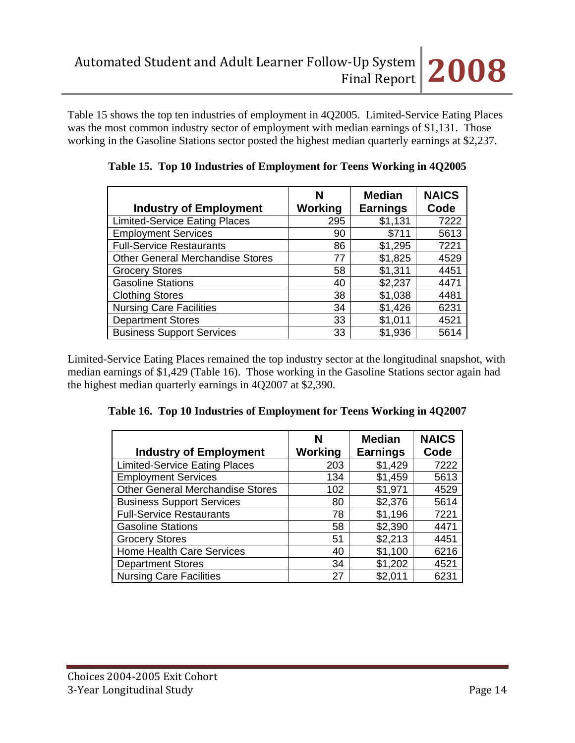Table 15 shows the top ten industries of employment in 4Q2005. Limited-Service Eating Places was the most common industry sector of employment with median earnings of \$1,131. Those working in the Gasoline Stations sector posted the highest median quarterly earnings at \$2,237.

| <b>Industry of Employment</b>           | N<br>Working | <b>Median</b><br><b>Earnings</b> | <b>NAICS</b><br>Code |
|-----------------------------------------|--------------|----------------------------------|----------------------|
| <b>Limited-Service Eating Places</b>    | 295          | \$1,131                          | 7222                 |
| <b>Employment Services</b>              | 90           | \$711                            | 5613                 |
| <b>Full-Service Restaurants</b>         | 86           | \$1,295                          | 7221                 |
| <b>Other General Merchandise Stores</b> | 77           | \$1,825                          | 4529                 |
| <b>Grocery Stores</b>                   | 58           | \$1,311                          | 4451                 |
| <b>Gasoline Stations</b>                | 40           | \$2,237                          | 4471                 |
| <b>Clothing Stores</b>                  | 38           | \$1,038                          | 4481                 |
| <b>Nursing Care Facilities</b>          | 34           | \$1,426                          | 6231                 |
| <b>Department Stores</b>                | 33           | \$1,011                          | 4521                 |
| <b>Business Support Services</b>        | 33           | \$1,936                          | 5614                 |

|  |  |  | Table 15. Top 10 Industries of Employment for Teens Working in 4Q2005 |
|--|--|--|-----------------------------------------------------------------------|
|--|--|--|-----------------------------------------------------------------------|

Limited-Service Eating Places remained the top industry sector at the longitudinal snapshot, with median earnings of \$1,429 (Table 16). Those working in the Gasoline Stations sector again had the highest median quarterly earnings in 4Q2007 at \$2,390.

|  |  | Table 16. Top 10 Industries of Employment for Teens Working in 4Q2007 |  |  |
|--|--|-----------------------------------------------------------------------|--|--|
|  |  |                                                                       |  |  |

| <b>Industry of Employment</b>           | N<br>Working | <b>Median</b><br><b>Earnings</b> | <b>NAICS</b><br>Code |
|-----------------------------------------|--------------|----------------------------------|----------------------|
| <b>Limited-Service Eating Places</b>    | 203          | \$1,429                          | 7222                 |
| <b>Employment Services</b>              | 134          | \$1,459                          | 5613                 |
| <b>Other General Merchandise Stores</b> | 102          | \$1,971                          | 4529                 |
| <b>Business Support Services</b>        | 80           | \$2,376                          | 5614                 |
| <b>Full-Service Restaurants</b>         | 78           | \$1,196                          | 7221                 |
| <b>Gasoline Stations</b>                | 58           | \$2,390                          | 4471                 |
| <b>Grocery Stores</b>                   | 51           | \$2,213                          | 4451                 |
| <b>Home Health Care Services</b>        | 40           | \$1,100                          | 6216                 |
| <b>Department Stores</b>                | 34           | \$1,202                          | 4521                 |
| <b>Nursing Care Facilities</b>          | 27           | \$2,011                          | 6231                 |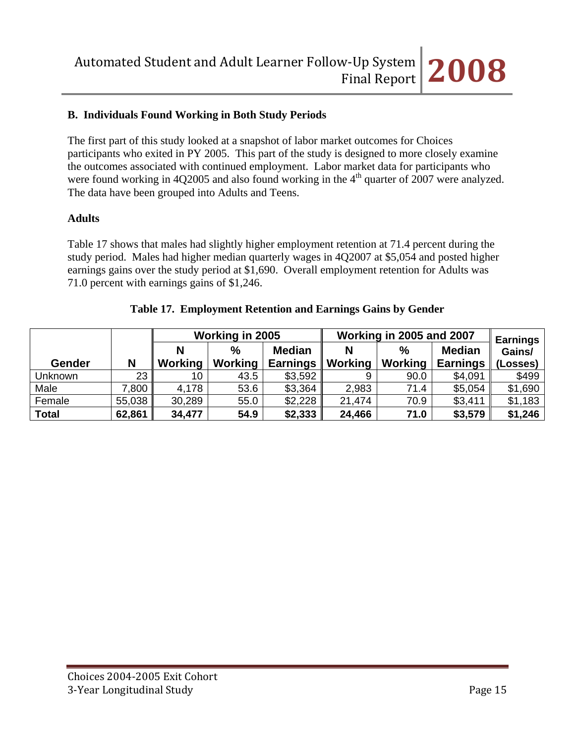# **B. Individuals Found Working in Both Study Periods**

The first part of this study looked at a snapshot of labor market outcomes for Choices participants who exited in PY 2005. This part of the study is designed to more closely examine the outcomes associated with continued employment. Labor market data for participants who were found working in 4Q2005 and also found working in the  $4<sup>th</sup>$  quarter of 2007 were analyzed. The data have been grouped into Adults and Teens.

### **Adults**

Table 17 shows that males had slightly higher employment retention at 71.4 percent during the study period. Males had higher median quarterly wages in 4Q2007 at \$5,054 and posted higher earnings gains over the study period at \$1,690. Overall employment retention for Adults was 71.0 percent with earnings gains of \$1,246.

|              |        | Working in 2005 |               |                 |         | Working in 2005 and 2007 | <b>Earnings</b> |          |
|--------------|--------|-----------------|---------------|-----------------|---------|--------------------------|-----------------|----------|
|              |        |                 | $\frac{0}{0}$ | <b>Median</b>   | N       | $\frac{0}{0}$            | <b>Median</b>   | Gains/   |
| Gender       | N      | Working         | Working       | <b>Earnings</b> | Working | Working                  | <b>Earnings</b> | (Losses) |
| Unknown      | 23     | 10              | 43.5          | \$3,592         |         | 90.0                     | \$4,091         | \$499    |
| Male         | .800   | 4,178           | 53.6          | \$3,364         | 2,983   | 71.4                     | \$5,054         | \$1,690  |
| Female       | 55,038 | 30,289          | 55.0          | \$2,228         | 21,474  | 70.9                     | \$3,411         | \$1,183  |
| <b>Total</b> | 62,861 | 34,477          | 54.9          | \$2,333         | 24,466  | 71.0                     | \$3,579         | \$1,246  |

#### **Table 17. Employment Retention and Earnings Gains by Gender**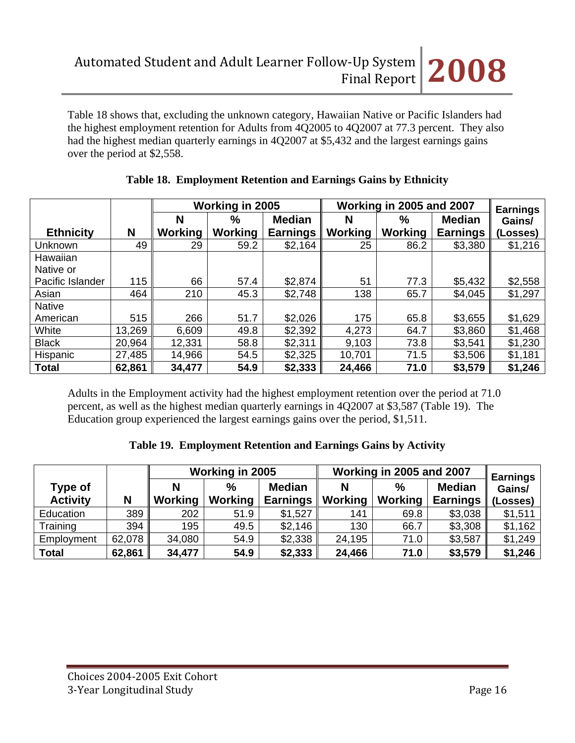Table 18 shows that, excluding the unknown category, Hawaiian Native or Pacific Islanders had the highest employment retention for Adults from 4Q2005 to 4Q2007 at 77.3 percent. They also had the highest median quarterly earnings in 4Q2007 at \$5,432 and the largest earnings gains over the period at \$2,558.

|                  |        | <b>Working in 2005</b> |         |                 | Working in 2005 and 2007 |                | <b>Earnings</b> |          |
|------------------|--------|------------------------|---------|-----------------|--------------------------|----------------|-----------------|----------|
|                  |        | N                      | %       | <b>Median</b>   | N                        | $\%$           | <b>Median</b>   | Gains/   |
| <b>Ethnicity</b> | N      | Working                | Working | <b>Earnings</b> | <b>Working</b>           | <b>Working</b> | <b>Earnings</b> | (Losses) |
| Unknown          | 49     | 29                     | 59.2    | \$2,164         | 25                       | 86.2           | \$3,380         | \$1,216  |
| Hawaiian         |        |                        |         |                 |                          |                |                 |          |
| Native or        |        |                        |         |                 |                          |                |                 |          |
| Pacific Islander | 115    | 66                     | 57.4    | \$2,874         | 51                       | 77.3           | \$5,432         | \$2,558  |
| Asian            | 464    | 210                    | 45.3    | \$2,748         | 138                      | 65.7           | \$4,045         | \$1,297  |
| <b>Native</b>    |        |                        |         |                 |                          |                |                 |          |
| American         | 515    | 266                    | 51.7    | \$2,026         | 175                      | 65.8           | \$3,655         | \$1,629  |
| White            | 13,269 | 6,609                  | 49.8    | \$2,392         | 4,273                    | 64.7           | \$3,860         | \$1,468  |
| <b>Black</b>     | 20,964 | 12,331                 | 58.8    | \$2,311         | 9,103                    | 73.8           | \$3,541         | \$1,230  |
| Hispanic         | 27,485 | 14,966                 | 54.5    | \$2,325         | 10,701                   | 71.5           | \$3,506         | \$1,181  |
| <b>Total</b>     | 62,861 | 34,477                 | 54.9    | \$2,333         | 24,466                   | 71.0           | \$3,579         | \$1,246  |

# **Table 18. Employment Retention and Earnings Gains by Ethnicity**

Adults in the Employment activity had the highest employment retention over the period at 71.0 percent, as well as the highest median quarterly earnings in 4Q2007 at \$3,587 (Table 19). The Education group experienced the largest earnings gains over the period, \$1,511.

# **Table 19. Employment Retention and Earnings Gains by Activity**

|                            |        |         | Working in 2005        |                                  | Working in 2005 and 2007 | <b>Earnings</b>        |                                  |                    |
|----------------------------|--------|---------|------------------------|----------------------------------|--------------------------|------------------------|----------------------------------|--------------------|
| Type of<br><b>Activity</b> | N      | Working | $\%$<br><b>Working</b> | <b>Median</b><br><b>Earnings</b> | N<br><b>Working</b>      | $\%$<br><b>Working</b> | <b>Median</b><br><b>Earnings</b> | Gains/<br>(Losses) |
|                            |        |         |                        |                                  |                          |                        |                                  |                    |
| Education                  | 389    | 202     | 51.9                   | \$1,527                          | 141                      | 69.8                   | \$3,038                          | \$1,511            |
| Training                   | 394    | 195     | 49.5                   | \$2,146                          | 130                      | 66.7                   | \$3,308                          | \$1,162            |
| Employment                 | 62,078 | 34,080  | 54.9                   | \$2,338                          | 24,195                   | 71.0                   | \$3,587                          | \$1,249            |
| <b>Total</b>               | 62,861 | 34,477  | 54.9                   | \$2,333                          | 24,466                   | 71.0                   | \$3,579                          | \$1,246            |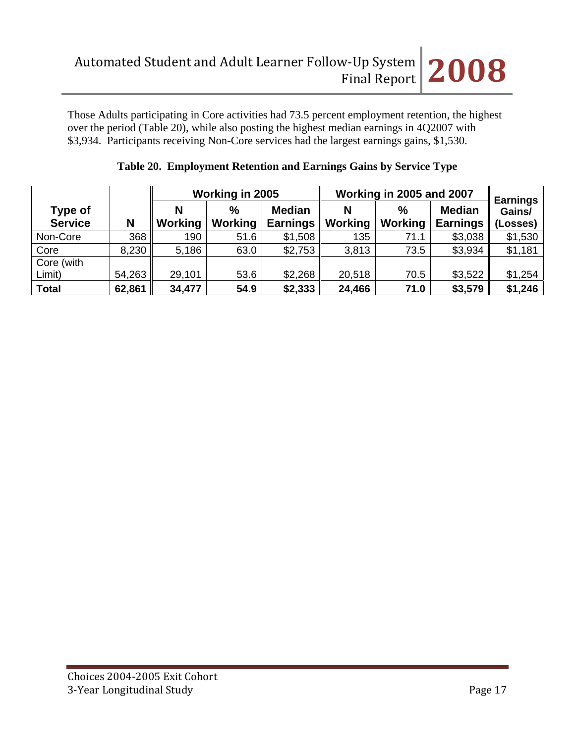Those Adults participating in Core activities had 73.5 percent employment retention, the highest over the period (Table 20), while also posting the highest median earnings in 4Q2007 with \$3,934. Participants receiving Non-Core services had the largest earnings gains, \$1,530.

|                           |        |         | Working in 2005        |                                  | Working in 2005 and 2007 | <b>Earnings</b>        |                                  |                    |
|---------------------------|--------|---------|------------------------|----------------------------------|--------------------------|------------------------|----------------------------------|--------------------|
| Type of<br><b>Service</b> | N      | Working | $\%$<br><b>Working</b> | <b>Median</b><br><b>Earnings</b> | N<br><b>Working</b>      | $\%$<br><b>Working</b> | <b>Median</b><br><b>Earnings</b> | Gains/<br>(Losses) |
| Non-Core                  | 368    | 190     | 51.6                   | \$1,508                          | 135                      | 71.1                   | \$3,038                          | \$1,530            |
| Core                      | 8,230  | 5,186   | 63.0                   | \$2,753                          | 3,813                    | 73.5                   | \$3,934                          | \$1,181            |
| Core (with                |        |         |                        |                                  |                          |                        |                                  |                    |
| Limit)                    | 54,263 | 29,101  | 53.6                   | \$2,268                          | 20,518                   | 70.5                   | \$3,522                          | \$1,254            |
| <b>Total</b>              | 62,861 | 34,477  | 54.9                   | \$2,333                          | 24,466                   | 71.0                   | \$3,579                          | \$1,246            |

# **Table 20. Employment Retention and Earnings Gains by Service Type**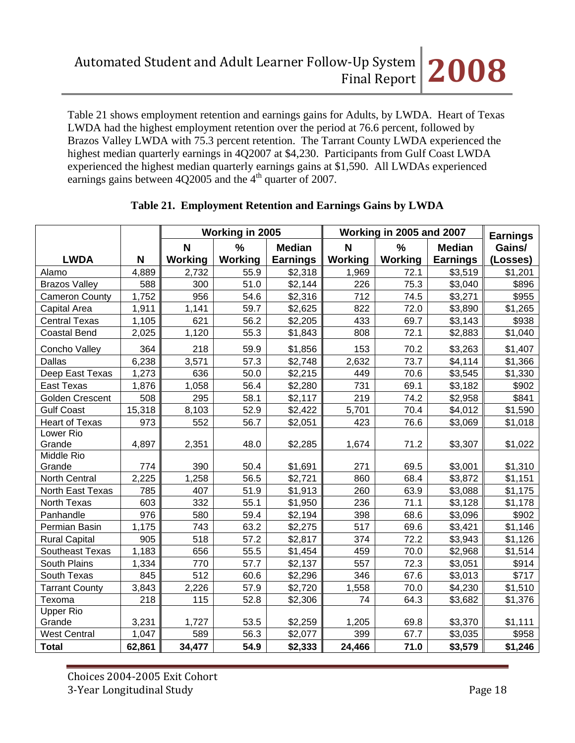Table 21 shows employment retention and earnings gains for Adults, by LWDA. Heart of Texas LWDA had the highest employment retention over the period at 76.6 percent, followed by Brazos Valley LWDA with 75.3 percent retention. The Tarrant County LWDA experienced the highest median quarterly earnings in 4Q2007 at \$4,230. Participants from Gulf Coast LWDA experienced the highest median quarterly earnings gains at \$1,590. All LWDAs experienced earnings gains between  $4Q2005$  and the  $4<sup>th</sup>$  quarter of 2007.

|                        |        | Working in 2005 |         |                 | Working in 2005 and 2007 | <b>Earnings</b> |                 |          |
|------------------------|--------|-----------------|---------|-----------------|--------------------------|-----------------|-----------------|----------|
|                        |        | N               | %       | <b>Median</b>   | N                        | %               | <b>Median</b>   | Gains/   |
| <b>LWDA</b>            | N      | Working         | Working | <b>Earnings</b> | Working                  | Working         | <b>Earnings</b> | (Losses) |
| Alamo                  | 4,889  | 2,732           | 55.9    | \$2,318         | 1,969                    | 72.1            | \$3,519         | \$1,201  |
| <b>Brazos Valley</b>   | 588    | 300             | 51.0    | \$2,144         | 226                      | 75.3            | \$3,040         | \$896    |
| <b>Cameron County</b>  | 1,752  | 956             | 54.6    | \$2,316         | 712                      | 74.5            | \$3,271         | \$955    |
| Capital Area           | 1,911  | 1,141           | 59.7    | \$2,625         | 822                      | 72.0            | \$3,890         | \$1,265  |
| <b>Central Texas</b>   | 1,105  | 621             | 56.2    | \$2,205         | 433                      | 69.7            | \$3,143         | \$938    |
| <b>Coastal Bend</b>    | 2,025  | 1,120           | 55.3    | \$1,843         | 808                      | 72.1            | \$2,883         | \$1,040  |
| Concho Valley          | 364    | 218             | 59.9    | \$1,856         | 153                      | 70.2            | \$3,263         | \$1,407  |
| Dallas                 | 6,238  | 3,571           | 57.3    | \$2,748         | 2,632                    | 73.7            | \$4,114         | \$1,366  |
| Deep East Texas        | 1,273  | 636             | 50.0    | \$2,215         | 449                      | 70.6            | \$3,545         | \$1,330  |
| <b>East Texas</b>      | 1,876  | 1,058           | 56.4    | \$2,280         | 731                      | 69.1            | \$3,182         | \$902    |
| <b>Golden Crescent</b> | 508    | 295             | 58.1    | \$2,117         | 219                      | 74.2            | \$2,958         | \$841    |
| <b>Gulf Coast</b>      | 15,318 | 8,103           | 52.9    | \$2,422         | 5,701                    | 70.4            | \$4,012         | \$1,590  |
| <b>Heart of Texas</b>  | 973    | 552             | 56.7    | \$2,051         | 423                      | 76.6            | \$3,069         | \$1,018  |
| Lower Rio              |        |                 |         |                 |                          |                 |                 |          |
| Grande                 | 4,897  | 2,351           | 48.0    | \$2,285         | 1,674                    | 71.2            | \$3,307         | \$1,022  |
| Middle Rio             |        |                 |         |                 |                          |                 |                 |          |
| Grande                 | 774    | 390             | 50.4    | \$1,691         | 271                      | 69.5            | \$3,001         | \$1,310  |
| North Central          | 2,225  | 1,258           | 56.5    | \$2,721         | 860                      | 68.4            | \$3,872         | \$1,151  |
| North East Texas       | 785    | 407             | 51.9    | \$1,913         | 260                      | 63.9            | \$3,088         | \$1,175  |
| North Texas            | 603    | 332             | 55.1    | \$1,950         | 236                      | 71.1            | \$3,128         | \$1,178  |
| Panhandle              | 976    | 580             | 59.4    | \$2,194         | 398                      | 68.6            | \$3,096         | \$902    |
| Permian Basin          | 1,175  | 743             | 63.2    | \$2,275         | 517                      | 69.6            | \$3,421         | \$1,146  |
| <b>Rural Capital</b>   | 905    | 518             | 57.2    | \$2,817         | 374                      | 72.2            | \$3,943         | \$1,126  |
| Southeast Texas        | 1,183  | 656             | 55.5    | \$1,454         | 459                      | 70.0            | \$2,968         | \$1,514  |
| South Plains           | 1,334  | 770             | 57.7    | \$2,137         | 557                      | 72.3            | \$3,051         | \$914    |
| South Texas            | 845    | 512             | 60.6    | \$2,296         | 346                      | 67.6            | \$3,013         | \$717    |
| <b>Tarrant County</b>  | 3,843  | 2,226           | 57.9    | \$2,720         | 1,558                    | 70.0            | \$4,230         | \$1,510  |
| Texoma                 | 218    | 115             | 52.8    | \$2,306         | 74                       | 64.3            | \$3,682         | \$1,376  |
| <b>Upper Rio</b>       |        |                 |         |                 |                          |                 |                 |          |
| Grande                 | 3,231  | 1,727           | 53.5    | \$2,259         | 1,205                    | 69.8            | \$3,370         | \$1,111  |
| <b>West Central</b>    | 1,047  | 589             | 56.3    | \$2,077         | 399                      | 67.7            | \$3,035         | \$958    |
| <b>Total</b>           | 62,861 | 34,477          | 54.9    | \$2,333         | 24,466                   | 71.0            | \$3,579         | \$1,246  |

## **Table 21. Employment Retention and Earnings Gains by LWDA**

Choices 2004‐2005 Exit Cohort 3‐Year Longitudinal Study Page 18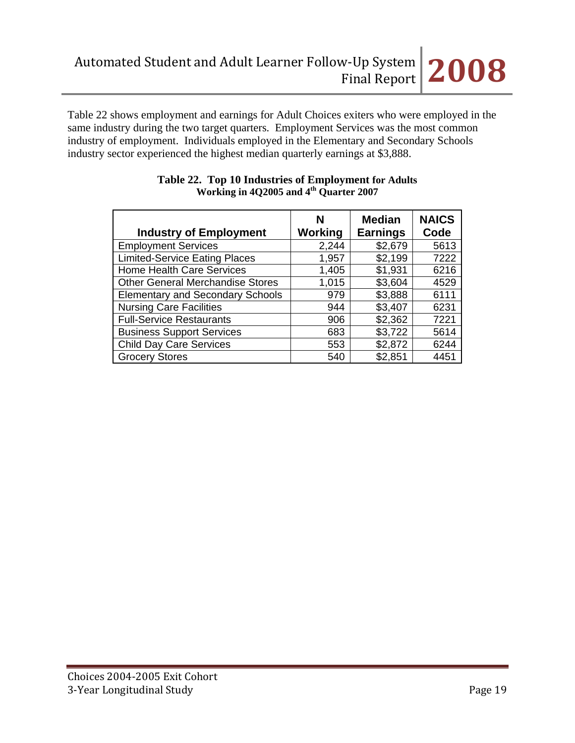

Table 22 shows employment and earnings for Adult Choices exiters who were employed in the same industry during the two target quarters. Employment Services was the most common industry of employment. Individuals employed in the Elementary and Secondary Schools industry sector experienced the highest median quarterly earnings at \$3,888.

| <b>Industry of Employment</b>           | N<br>Working | <b>Median</b><br><b>Earnings</b> | <b>NAICS</b><br>Code |
|-----------------------------------------|--------------|----------------------------------|----------------------|
| <b>Employment Services</b>              | 2,244        | \$2,679                          | 5613                 |
| <b>Limited-Service Eating Places</b>    | 1,957        | \$2,199                          | 7222                 |
| <b>Home Health Care Services</b>        | 1,405        | \$1,931                          | 6216                 |
| <b>Other General Merchandise Stores</b> | 1,015        | \$3,604                          | 4529                 |
| <b>Elementary and Secondary Schools</b> | 979          | \$3,888                          | 6111                 |
| <b>Nursing Care Facilities</b>          | 944          | \$3,407                          | 6231                 |
| <b>Full-Service Restaurants</b>         | 906          | \$2,362                          | 7221                 |
| <b>Business Support Services</b>        | 683          | \$3,722                          | 5614                 |
| <b>Child Day Care Services</b>          | 553          | \$2,872                          | 6244                 |
| <b>Grocery Stores</b>                   | 540          | \$2,851                          | 4451                 |

#### **Table 22. Top 10 Industries of Employment for Adults Working in 4Q2005 and 4th Quarter 2007**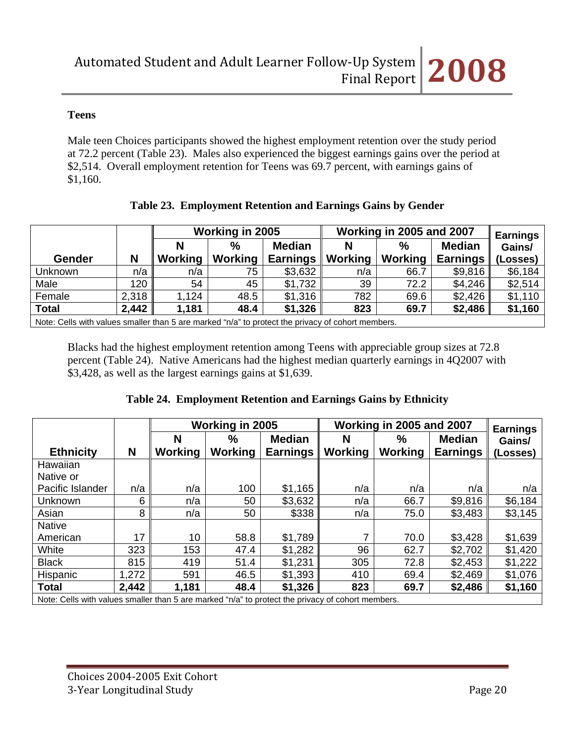## **Teens**

Male teen Choices participants showed the highest employment retention over the study period at 72.2 percent (Table 23). Males also experienced the biggest earnings gains over the period at \$2,514. Overall employment retention for Teens was 69.7 percent, with earnings gains of \$1,160.

|                                                                                                   |       |         | Working in 2005 |                 |                | Working in 2005 and 2007 |                 |                           |  |
|---------------------------------------------------------------------------------------------------|-------|---------|-----------------|-----------------|----------------|--------------------------|-----------------|---------------------------|--|
|                                                                                                   |       | N       | $\frac{0}{0}$   | <b>Median</b>   | N              | $\%$                     | <b>Median</b>   | <b>Earnings</b><br>Gains/ |  |
| <b>Gender</b>                                                                                     | Ν     | Working | Working         | <b>Earnings</b> | <b>Working</b> | Working                  | <b>Earnings</b> | (Losses)                  |  |
| Unknown                                                                                           | n/a   | n/a     | 75              | \$3,632         | n/a            | 66.7                     | \$9,816         | \$6,184                   |  |
| Male                                                                                              | 120   | 54      | 45              | \$1,732         | 39             | 72.2                     | \$4,246         | \$2,514                   |  |
| Female                                                                                            | 2,318 | 1,124   | 48.5            | \$1,316         | 782            | 69.6                     | \$2,426         | \$1,110                   |  |
| <b>Total</b>                                                                                      | 2,442 | 1,181   | 48.4            | \$1,326         | 823            | 69.7                     | \$2,486         | \$1,160                   |  |
| Note: Cells with values smaller than 5 are marked "n/a" to protect the privacy of cohort members. |       |         |                 |                 |                |                          |                 |                           |  |

## **Table 23. Employment Retention and Earnings Gains by Gender**

Blacks had the highest employment retention among Teens with appreciable group sizes at 72.8 percent (Table 24). Native Americans had the highest median quarterly earnings in 4Q2007 with \$3,428, as well as the largest earnings gains at \$1,639.

## **Table 24. Employment Retention and Earnings Gains by Ethnicity**

|                                                                                                   |       | Working in 2005 |         |                 | Working in 2005 and 2007 | <b>Earnings</b> |                 |          |
|---------------------------------------------------------------------------------------------------|-------|-----------------|---------|-----------------|--------------------------|-----------------|-----------------|----------|
|                                                                                                   |       | N<br>$\%$       |         | <b>Median</b>   | N                        | $\%$            | <b>Median</b>   | Gains/   |
| <b>Ethnicity</b>                                                                                  | N     | <b>Working</b>  | Working | <b>Earnings</b> | Working                  | Working         | <b>Earnings</b> | (Losses) |
| Hawaiian                                                                                          |       |                 |         |                 |                          |                 |                 |          |
| Native or                                                                                         |       |                 |         |                 |                          |                 |                 |          |
| Pacific Islander                                                                                  | n/a   | n/a             | 100     | \$1,165         | n/a                      | n/a             | n/a             | n/a      |
| Unknown                                                                                           | 6     | n/a             | 50      | \$3,632         | n/a                      | 66.7            | \$9,816         | \$6,184  |
| Asian                                                                                             | 8     | n/a             | 50      | \$338           | n/a                      | 75.0            | \$3,483         | \$3,145  |
| <b>Native</b>                                                                                     |       |                 |         |                 |                          |                 |                 |          |
| American                                                                                          | 17    | 10              | 58.8    | \$1,789         |                          | 70.0            | \$3,428         | \$1,639  |
| White                                                                                             | 323   | 153             | 47.4    | \$1,282         | 96                       | 62.7            | \$2,702         | \$1,420  |
| <b>Black</b>                                                                                      | 815   | 419             | 51.4    | \$1,231         | 305                      | 72.8            | \$2,453         | \$1,222  |
| Hispanic                                                                                          | 1,272 | 591             | 46.5    | \$1,393         | 410                      | 69.4            | \$2,469         | \$1,076  |
| <b>Total</b>                                                                                      | 2,442 | 1,181           | 48.4    | \$1,326         | 823                      | 69.7            | \$2,486         | \$1,160  |
| Note: Cells with values smaller than 5 are marked "n/a" to protect the privacy of cohort members. |       |                 |         |                 |                          |                 |                 |          |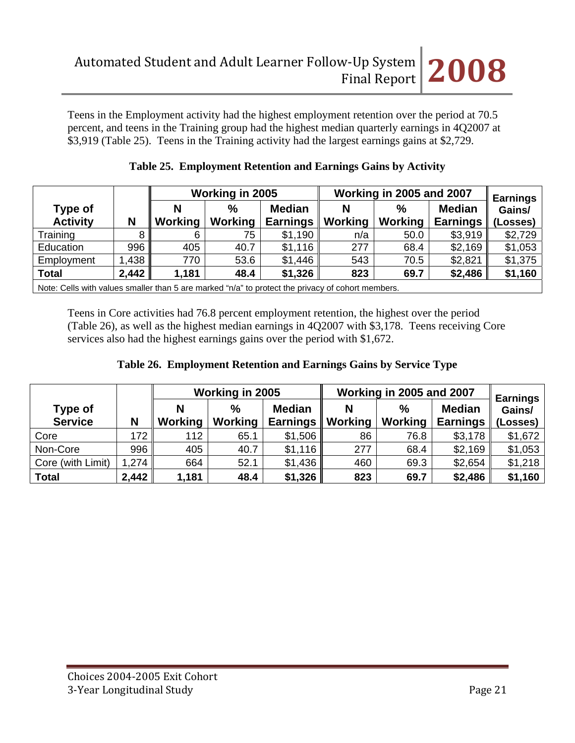Teens in the Employment activity had the highest employment retention over the period at 70.5 percent, and teens in the Training group had the highest median quarterly earnings in 4Q2007 at \$3,919 (Table 25). Teens in the Training activity had the largest earnings gains at \$2,729.

|                            |       |              | Working in 2005 |                                  | Working in 2005 and 2007 | <b>Earnings</b>          |                                  |                    |
|----------------------------|-------|--------------|-----------------|----------------------------------|--------------------------|--------------------------|----------------------------------|--------------------|
| Type of<br><b>Activity</b> | N     | N<br>Working | $\%$<br>Working | <b>Median</b><br><b>Earnings</b> | Working                  | $\frac{0}{0}$<br>Working | <b>Median</b><br><b>Earnings</b> | Gains/<br>(Losses) |
| Training                   | 8     | 6            | 75              | \$1,190                          | n/a                      | 50.0                     | \$3,919                          | \$2,729            |
| Education                  | 996   | 405          | 40.7            | \$1,116                          | 277                      | 68.4                     | \$2,169                          | \$1,053            |
| Employment                 | 1,438 | 770.         | 53.6            | \$1,446                          | 543                      | 70.5                     | \$2,821                          | \$1,375            |
| <b>Total</b>               | 2,442 | 1,181        | 48.4            | \$1,326                          | 823                      | 69.7                     | \$2,486                          | \$1,160            |

|  | Table 25. Employment Retention and Earnings Gains by Activity |  |
|--|---------------------------------------------------------------|--|
|  |                                                               |  |

Note: Cells with values smaller than 5 are marked "n/a" to protect the privacy of cohort members.

Teens in Core activities had 76.8 percent employment retention, the highest over the period (Table 26), as well as the highest median earnings in 4Q2007 with \$3,178. Teens receiving Core services also had the highest earnings gains over the period with \$1,672.

|  | Table 26. Employment Retention and Earnings Gains by Service Type |  |  |
|--|-------------------------------------------------------------------|--|--|
|  |                                                                   |  |  |

|                           |       | Working in 2005 |                        |                                  | Working in 2005 and 2007 | <b>Earnings</b>        |                                  |                    |
|---------------------------|-------|-----------------|------------------------|----------------------------------|--------------------------|------------------------|----------------------------------|--------------------|
| Type of<br><b>Service</b> | N     | N<br>Working    | $\%$<br><b>Working</b> | <b>Median</b><br><b>Earnings</b> | Ν<br><b>Working</b>      | $\%$<br><b>Working</b> | <b>Median</b><br><b>Earnings</b> | Gains/<br>(Losses) |
| Core                      | 172   | 112             | 65.1                   | \$1,506                          | 86                       | 76.8                   | \$3,178                          | \$1,672            |
| Non-Core                  | 996   | 405             | 40.7                   | \$1,116                          | 277                      | 68.4                   | \$2,169                          | \$1,053            |
| Core (with Limit)         | 1,274 | 664             | 52.1                   | \$1,436                          | 460                      | 69.3                   | \$2,654                          | \$1,218            |
| <b>Total</b>              | 2,442 | 1,181           | 48.4                   | \$1,326                          | 823                      | 69.7                   | \$2,486                          | \$1,160            |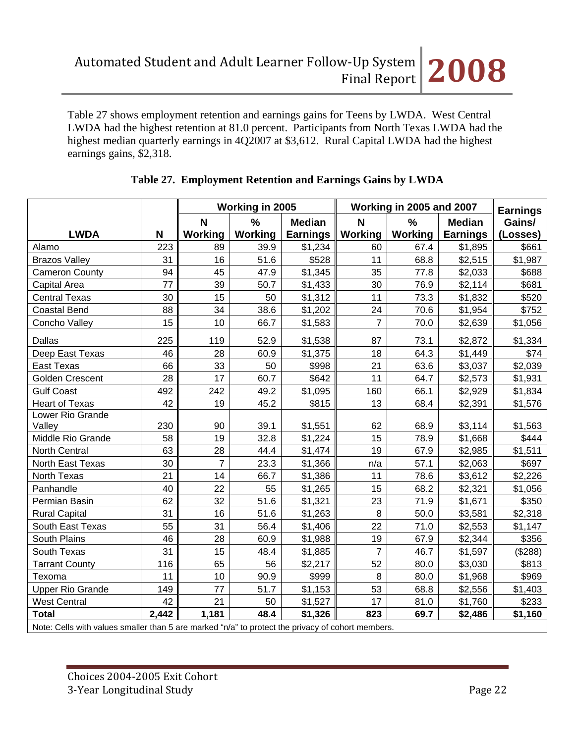Table 27 shows employment retention and earnings gains for Teens by LWDA. West Central LWDA had the highest retention at 81.0 percent. Participants from North Texas LWDA had the highest median quarterly earnings in 4Q2007 at \$3,612. Rural Capital LWDA had the highest earnings gains, \$2,318.

|                                                                                                   |       | Working in 2005 |         |                 | Working in 2005 and 2007 | <b>Earnings</b> |                 |          |
|---------------------------------------------------------------------------------------------------|-------|-----------------|---------|-----------------|--------------------------|-----------------|-----------------|----------|
|                                                                                                   |       | N               | %       | <b>Median</b>   | N                        | %               | <b>Median</b>   | Gains/   |
| <b>LWDA</b>                                                                                       | N     | <b>Working</b>  | Working | <b>Earnings</b> | Working                  | Working         | <b>Earnings</b> | (Losses) |
| Alamo                                                                                             | 223   | 89              | 39.9    | \$1,234         | 60                       | 67.4            | \$1,895         | \$661    |
| <b>Brazos Valley</b>                                                                              | 31    | 16              | 51.6    | \$528           | 11                       | 68.8            | \$2,515         | \$1,987  |
| <b>Cameron County</b>                                                                             | 94    | 45              | 47.9    | \$1,345         | 35                       | 77.8            | \$2,033         | \$688    |
| Capital Area                                                                                      | 77    | 39              | 50.7    | \$1,433         | 30                       | 76.9            | \$2,114         | \$681    |
| <b>Central Texas</b>                                                                              | 30    | 15              | 50      | \$1,312         | 11                       | 73.3            | \$1,832         | \$520    |
| <b>Coastal Bend</b>                                                                               | 88    | 34              | 38.6    | \$1,202         | 24                       | 70.6            | \$1,954         | \$752    |
| Concho Valley                                                                                     | 15    | 10              | 66.7    | \$1,583         | $\overline{7}$           | 70.0            | \$2,639         | \$1,056  |
| Dallas                                                                                            | 225   | 119             | 52.9    | \$1,538         | 87                       | 73.1            | \$2,872         | \$1,334  |
| Deep East Texas                                                                                   | 46    | 28              | 60.9    | \$1,375         | 18                       | 64.3            | \$1,449         | \$74     |
| East Texas                                                                                        | 66    | 33              | 50      | \$998           | 21                       | 63.6            | \$3,037         | \$2,039  |
| Golden Crescent                                                                                   | 28    | 17              | 60.7    | \$642           | 11                       | 64.7            | \$2,573         | \$1,931  |
| <b>Gulf Coast</b>                                                                                 | 492   | 242             | 49.2    | \$1,095         | 160                      | 66.1            | \$2,929         | \$1,834  |
| <b>Heart of Texas</b>                                                                             | 42    | 19              | 45.2    | \$815           | 13                       | 68.4            | \$2,391         | \$1,576  |
| Lower Rio Grande                                                                                  |       |                 |         |                 |                          |                 |                 |          |
| Valley                                                                                            | 230   | 90              | 39.1    | \$1,551         | 62                       | 68.9            | \$3,114         | \$1,563  |
| Middle Rio Grande                                                                                 | 58    | 19              | 32.8    | \$1,224         | 15                       | 78.9            | \$1,668         | \$444    |
| <b>North Central</b>                                                                              | 63    | 28              | 44.4    | \$1,474         | 19                       | 67.9            | \$2,985         | \$1,511  |
| North East Texas                                                                                  | 30    | $\overline{7}$  | 23.3    | \$1,366         | n/a                      | 57.1            | \$2,063         | \$697    |
| North Texas                                                                                       | 21    | 14              | 66.7    | \$1,386         | 11                       | 78.6            | \$3,612         | \$2,226  |
| Panhandle                                                                                         | 40    | 22              | 55      | \$1,265         | 15                       | 68.2            | \$2,321         | \$1,056  |
| Permian Basin                                                                                     | 62    | 32              | 51.6    | \$1,321         | 23                       | 71.9            | \$1,671         | \$350    |
| <b>Rural Capital</b>                                                                              | 31    | 16              | 51.6    | \$1,263         | 8                        | 50.0            | \$3,581         | \$2,318  |
| South East Texas                                                                                  | 55    | 31              | 56.4    | \$1,406         | 22                       | 71.0            | \$2,553         | \$1,147  |
| South Plains                                                                                      | 46    | 28              | 60.9    | \$1,988         | 19                       | 67.9            | \$2,344         | \$356    |
| South Texas                                                                                       | 31    | 15              | 48.4    | \$1,885         | $\overline{7}$           | 46.7            | \$1,597         | (\$288)  |
| <b>Tarrant County</b>                                                                             | 116   | 65              | 56      | \$2,217         | 52                       | 80.0            | \$3,030         | \$813    |
| Texoma                                                                                            | 11    | 10              | 90.9    | \$999           | 8                        | 80.0            | \$1,968         | \$969    |
| <b>Upper Rio Grande</b>                                                                           | 149   | 77              | 51.7    | \$1,153         | 53                       | 68.8            | \$2,556         | \$1,403  |
| <b>West Central</b>                                                                               | 42    | 21              | 50      | \$1,527         | 17                       | 81.0            | \$1,760         | \$233    |
| <b>Total</b>                                                                                      | 2,442 | 1,181           | 48.4    | \$1,326         | 823                      | 69.7            | \$2,486         | \$1,160  |
| Note: Cells with values smaller than 5 are marked "n/a" to protect the privacy of cohort members. |       |                 |         |                 |                          |                 |                 |          |

# **Table 27. Employment Retention and Earnings Gains by LWDA**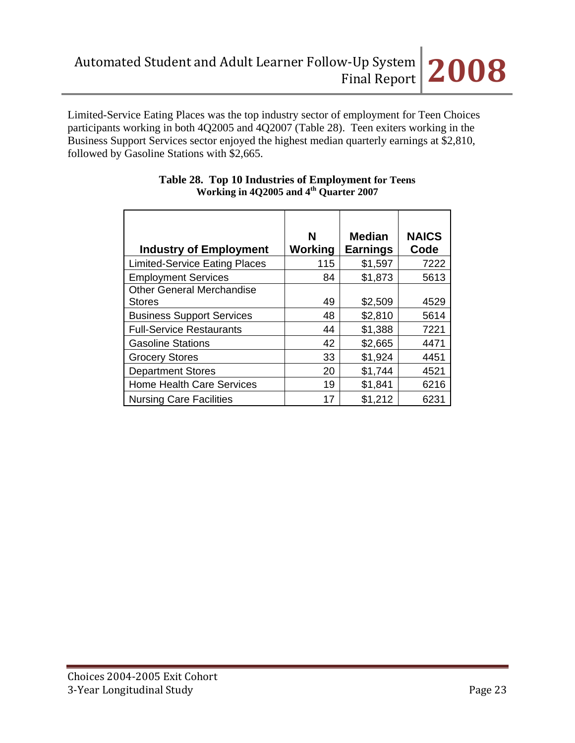

Limited-Service Eating Places was the top industry sector of employment for Teen Choices participants working in both 4Q2005 and 4Q2007 (Table 28). Teen exiters working in the Business Support Services sector enjoyed the highest median quarterly earnings at \$2,810, followed by Gasoline Stations with \$2,665.

| <b>Industry of Employment</b>        | N<br>Working | <b>Median</b><br><b>Earnings</b> | <b>NAICS</b><br>Code |
|--------------------------------------|--------------|----------------------------------|----------------------|
| <b>Limited-Service Eating Places</b> | 115          | \$1,597                          | 7222                 |
|                                      |              |                                  |                      |
| <b>Employment Services</b>           | 84           | \$1,873                          | 5613                 |
| <b>Other General Merchandise</b>     |              |                                  |                      |
| <b>Stores</b>                        | 49           | \$2,509                          | 4529                 |
| <b>Business Support Services</b>     | 48           | \$2,810                          | 5614                 |
| <b>Full-Service Restaurants</b>      | 44           | \$1,388                          | 7221                 |
| <b>Gasoline Stations</b>             | 42           | \$2,665                          | 4471                 |
| <b>Grocery Stores</b>                | 33           | \$1,924                          | 4451                 |
| <b>Department Stores</b>             | 20           | \$1,744                          | 4521                 |
| <b>Home Health Care Services</b>     | 19           | \$1,841                          | 6216                 |
| <b>Nursing Care Facilities</b>       | 17           | \$1,212                          | 6231                 |

### **Table 28. Top 10 Industries of Employment for Teens Working in 4Q2005 and 4th Quarter 2007**